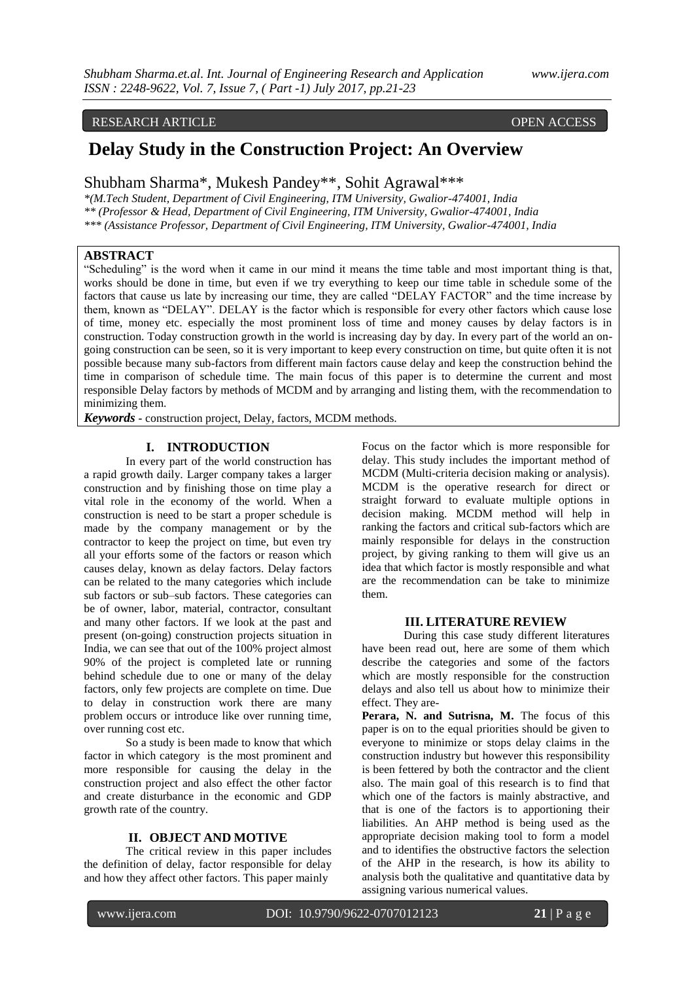# RESEARCH ARTICLE **CONSERVANCE OPEN ACCESS**

# **Delay Study in the Construction Project: An Overview**

Shubham Sharma\*, Mukesh Pandey\*\*, Sohit Agrawal\*\*\*

*\*(M.Tech Student, Department of Civil Engineering, ITM University, Gwalior-474001, India \*\* (Professor & Head, Department of Civil Engineering, ITM University, Gwalior-474001, India \*\*\* (Assistance Professor, Department of Civil Engineering, ITM University, Gwalior-474001, India*

# **ABSTRACT**

"Scheduling" is the word when it came in our mind it means the time table and most important thing is that, works should be done in time, but even if we try everything to keep our time table in schedule some of the factors that cause us late by increasing our time, they are called "DELAY FACTOR" and the time increase by them, known as "DELAY". DELAY is the factor which is responsible for every other factors which cause lose of time, money etc. especially the most prominent loss of time and money causes by delay factors is in construction. Today construction growth in the world is increasing day by day. In every part of the world an ongoing construction can be seen, so it is very important to keep every construction on time, but quite often it is not possible because many sub-factors from different main factors cause delay and keep the construction behind the time in comparison of schedule time. The main focus of this paper is to determine the current and most responsible Delay factors by methods of MCDM and by arranging and listing them, with the recommendation to minimizing them.

*Keywords* **-** construction project, Delay, factors, MCDM methods.

# **I. INTRODUCTION**

In every part of the world construction has a rapid growth daily. Larger company takes a larger construction and by finishing those on time play a vital role in the economy of the world. When a construction is need to be start a proper schedule is made by the company management or by the contractor to keep the project on time, but even try all your efforts some of the factors or reason which causes delay, known as delay factors. Delay factors can be related to the many categories which include sub factors or sub–sub factors. These categories can be of owner, labor, material, contractor, consultant and many other factors. If we look at the past and present (on-going) construction projects situation in India, we can see that out of the 100% project almost 90% of the project is completed late or running behind schedule due to one or many of the delay factors, only few projects are complete on time. Due to delay in construction work there are many problem occurs or introduce like over running time, over running cost etc.

So a study is been made to know that which factor in which category is the most prominent and more responsible for causing the delay in the construction project and also effect the other factor and create disturbance in the economic and GDP growth rate of the country.

# **II. OBJECT AND MOTIVE**

The critical review in this paper includes the definition of delay, factor responsible for delay and how they affect other factors. This paper mainly

Focus on the factor which is more responsible for delay. This study includes the important method of MCDM (Multi-criteria decision making or analysis). MCDM is the operative research for direct or straight forward to evaluate multiple options in decision making. MCDM method will help in ranking the factors and critical sub-factors which are mainly responsible for delays in the construction project, by giving ranking to them will give us an idea that which factor is mostly responsible and what are the recommendation can be take to minimize them.

# **III. LITERATURE REVIEW**

During this case study different literatures have been read out, here are some of them which describe the categories and some of the factors which are mostly responsible for the construction delays and also tell us about how to minimize their effect. They are-

Perara, N. and Sutrisna, M. The focus of this paper is on to the equal priorities should be given to everyone to minimize or stops delay claims in the construction industry but however this responsibility is been fettered by both the contractor and the client also. The main goal of this research is to find that which one of the factors is mainly abstractive, and that is one of the factors is to apportioning their liabilities. An AHP method is being used as the appropriate decision making tool to form a model and to identifies the obstructive factors the selection of the AHP in the research, is how its ability to analysis both the qualitative and quantitative data by assigning various numerical values.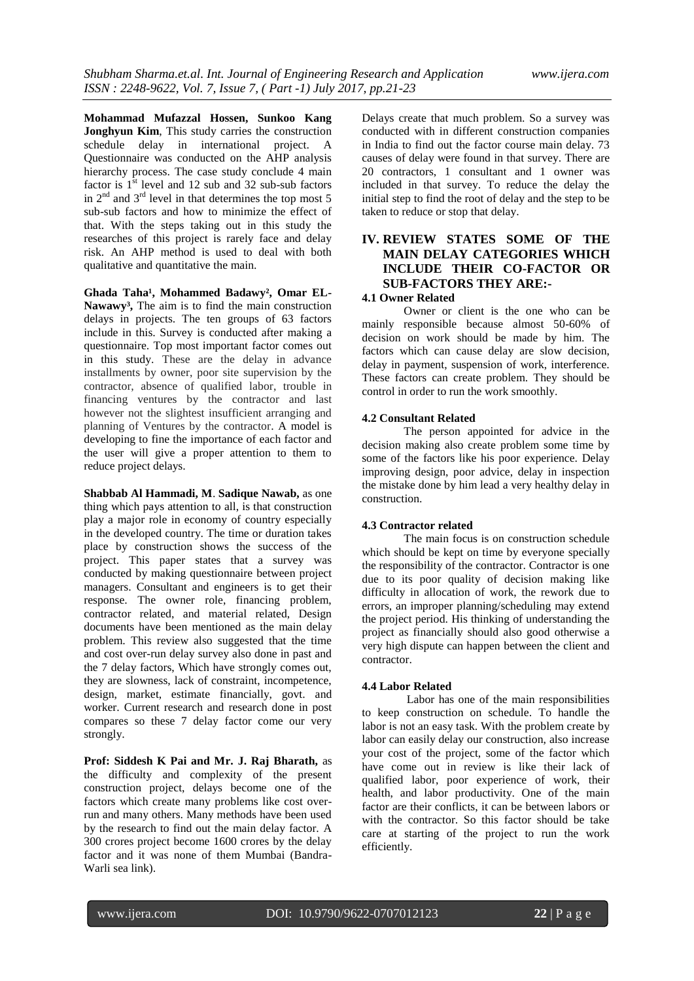**Mohammad Mufazzal Hossen, Sunkoo Kang Jonghyun Kim**, This study carries the construction schedule delay in international project. A Questionnaire was conducted on the AHP analysis hierarchy process. The case study conclude 4 main factor is  $1<sup>st</sup>$  level and 12 sub and 32 sub-sub factors in  $2<sup>nd</sup>$  and  $3<sup>rd</sup>$  level in that determines the top most 5 sub-sub factors and how to minimize the effect of that. With the steps taking out in this study the researches of this project is rarely face and delay risk. An AHP method is used to deal with both qualitative and quantitative the main.

Ghada Taha<sup>1</sup>, Mohammed Badawy<sup>2</sup>, Omar EL-**Nawawy³,** The aim is to find the main construction delays in projects. The ten groups of 63 factors include in this. Survey is conducted after making a questionnaire. Top most important factor comes out in this study. These are the delay in advance installments by owner, poor site supervision by the contractor, absence of qualified labor, trouble in financing ventures by the contractor and last however not the slightest insufficient arranging and planning of Ventures by the contractor. A model is developing to fine the importance of each factor and the user will give a proper attention to them to reduce project delays.

**Shabbab Al Hammadi, M**. **Sadique Nawab,** as one thing which pays attention to all, is that construction play a major role in economy of country especially in the developed country. The time or duration takes place by construction shows the success of the project. This paper states that a survey was conducted by making questionnaire between project managers. Consultant and engineers is to get their response. The owner role, financing problem, contractor related, and material related, Design documents have been mentioned as the main delay problem. This review also suggested that the time and cost over-run delay survey also done in past and the 7 delay factors, Which have strongly comes out, they are slowness, lack of constraint, incompetence, design, market, estimate financially, govt. and worker. Current research and research done in post compares so these 7 delay factor come our very strongly.

**Prof: Siddesh K Pai and Mr. J. Raj Bharath,** as the difficulty and complexity of the present construction project, delays become one of the factors which create many problems like cost overrun and many others. Many methods have been used by the research to find out the main delay factor. A 300 crores project become 1600 crores by the delay factor and it was none of them Mumbai (Bandra-Warli sea link).

Delays create that much problem. So a survey was conducted with in different construction companies in India to find out the factor course main delay. 73 causes of delay were found in that survey. There are 20 contractors, 1 consultant and 1 owner was included in that survey. To reduce the delay the initial step to find the root of delay and the step to be taken to reduce or stop that delay.

# **IV. REVIEW STATES SOME OF THE MAIN DELAY CATEGORIES WHICH INCLUDE THEIR CO-FACTOR OR SUB-FACTORS THEY ARE:-**

# **4.1 Owner Related**

Owner or client is the one who can be mainly responsible because almost 50-60% of decision on work should be made by him. The factors which can cause delay are slow decision, delay in payment, suspension of work, interference. These factors can create problem. They should be control in order to run the work smoothly.

#### **4.2 Consultant Related**

The person appointed for advice in the decision making also create problem some time by some of the factors like his poor experience. Delay improving design, poor advice, delay in inspection the mistake done by him lead a very healthy delay in construction.

#### **4.3 Contractor related**

The main focus is on construction schedule which should be kept on time by everyone specially the responsibility of the contractor. Contractor is one due to its poor quality of decision making like difficulty in allocation of work, the rework due to errors, an improper planning/scheduling may extend the project period. His thinking of understanding the project as financially should also good otherwise a very high dispute can happen between the client and contractor.

#### **4.4 Labor Related**

Labor has one of the main responsibilities to keep construction on schedule. To handle the labor is not an easy task. With the problem create by labor can easily delay our construction, also increase your cost of the project, some of the factor which have come out in review is like their lack of qualified labor, poor experience of work, their health, and labor productivity. One of the main factor are their conflicts, it can be between labors or with the contractor. So this factor should be take care at starting of the project to run the work efficiently.